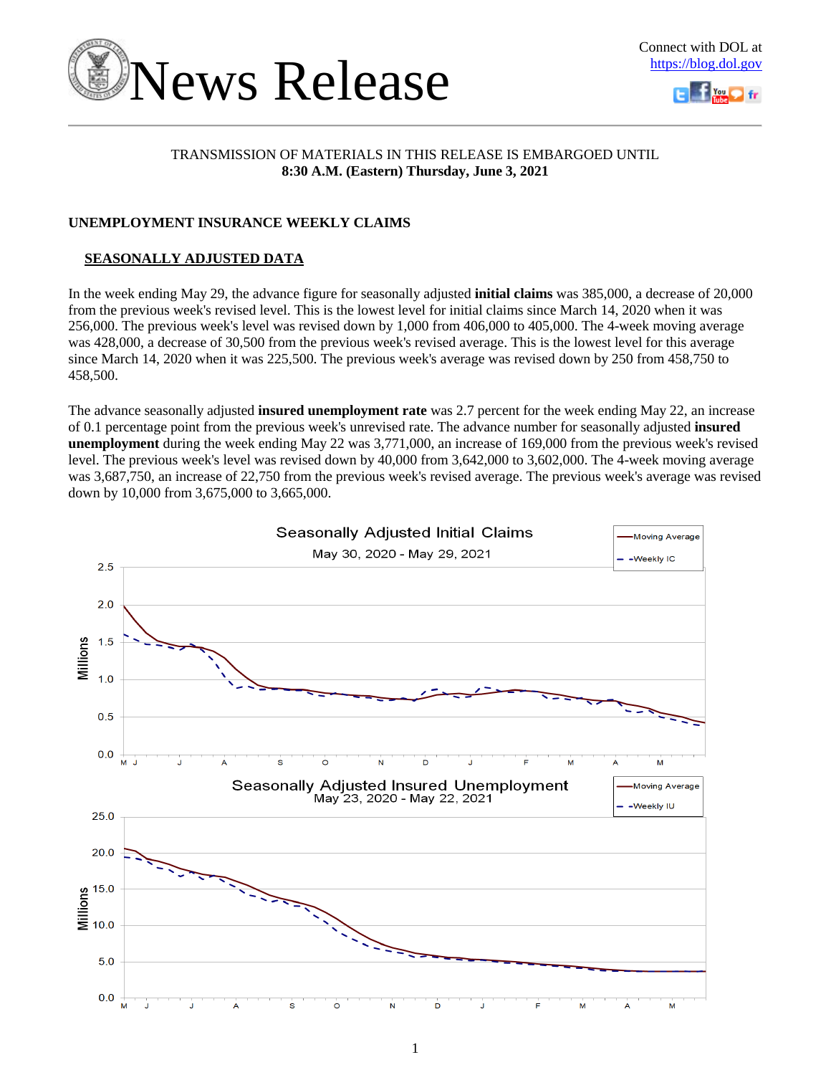



### TRANSMISSION OF MATERIALS IN THIS RELEASE IS EMBARGOED UNTIL **8:30 A.M. (Eastern) Thursday, June 3, 2021**

### **UNEMPLOYMENT INSURANCE WEEKLY CLAIMS**

### **SEASONALLY ADJUSTED DATA**

In the week ending May 29, the advance figure for seasonally adjusted **initial claims** was 385,000, a decrease of 20,000 from the previous week's revised level. This is the lowest level for initial claims since March 14, 2020 when it was 256,000. The previous week's level was revised down by 1,000 from 406,000 to 405,000. The 4-week moving average was 428,000, a decrease of 30,500 from the previous week's revised average. This is the lowest level for this average since March 14, 2020 when it was 225,500. The previous week's average was revised down by 250 from 458,750 to 458,500.

The advance seasonally adjusted **insured unemployment rate** was 2.7 percent for the week ending May 22, an increase of 0.1 percentage point from the previous week's unrevised rate. The advance number for seasonally adjusted **insured unemployment** during the week ending May 22 was 3,771,000, an increase of 169,000 from the previous week's revised level. The previous week's level was revised down by 40,000 from 3,642,000 to 3,602,000. The 4-week moving average was 3,687,750, an increase of 22,750 from the previous week's revised average. The previous week's average was revised down by 10,000 from 3,675,000 to 3,665,000.

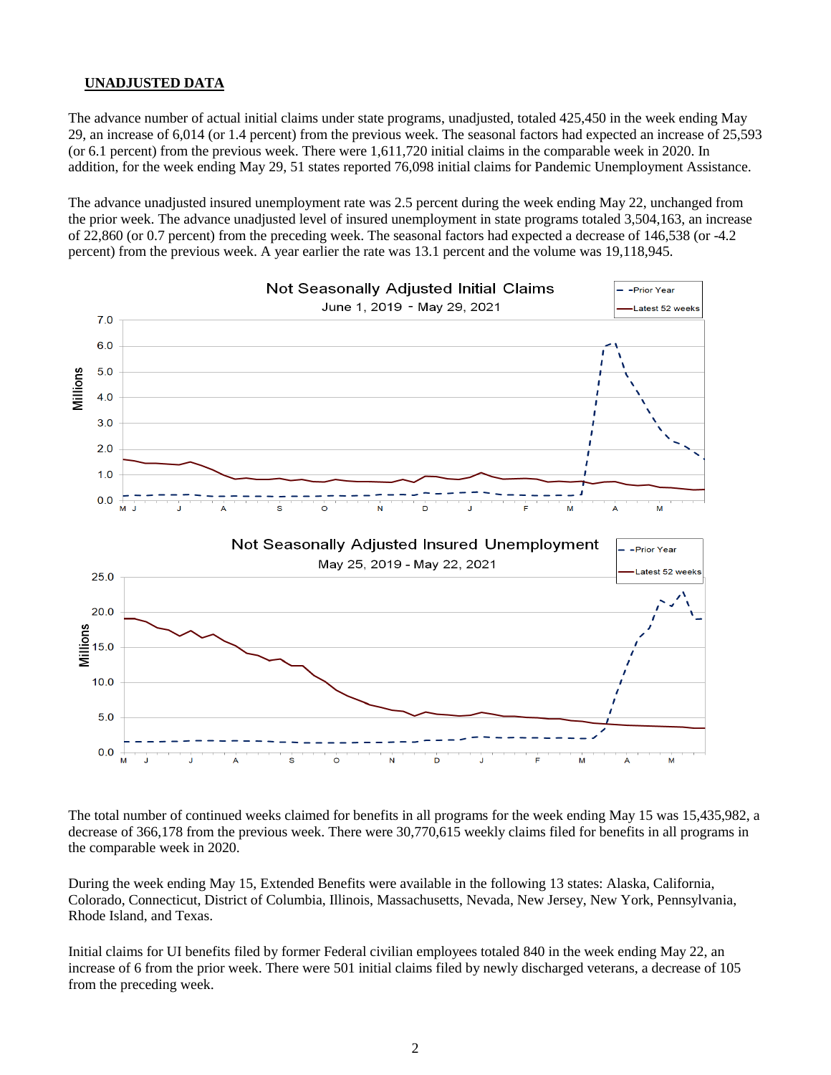### **UNADJUSTED DATA**

The advance number of actual initial claims under state programs, unadjusted, totaled 425,450 in the week ending May 29, an increase of 6,014 (or 1.4 percent) from the previous week. The seasonal factors had expected an increase of 25,593 (or 6.1 percent) from the previous week. There were 1,611,720 initial claims in the comparable week in 2020. In addition, for the week ending May 29, 51 states reported 76,098 initial claims for Pandemic Unemployment Assistance.

The advance unadjusted insured unemployment rate was 2.5 percent during the week ending May 22, unchanged from the prior week. The advance unadjusted level of insured unemployment in state programs totaled 3,504,163, an increase of 22,860 (or 0.7 percent) from the preceding week. The seasonal factors had expected a decrease of 146,538 (or -4.2 percent) from the previous week. A year earlier the rate was 13.1 percent and the volume was 19,118,945.



The total number of continued weeks claimed for benefits in all programs for the week ending May 15 was 15,435,982, a decrease of 366,178 from the previous week. There were 30,770,615 weekly claims filed for benefits in all programs in the comparable week in 2020.

During the week ending May 15, Extended Benefits were available in the following 13 states: Alaska, California, Colorado, Connecticut, District of Columbia, Illinois, Massachusetts, Nevada, New Jersey, New York, Pennsylvania, Rhode Island, and Texas.

Initial claims for UI benefits filed by former Federal civilian employees totaled 840 in the week ending May 22, an increase of 6 from the prior week. There were 501 initial claims filed by newly discharged veterans, a decrease of 105 from the preceding week.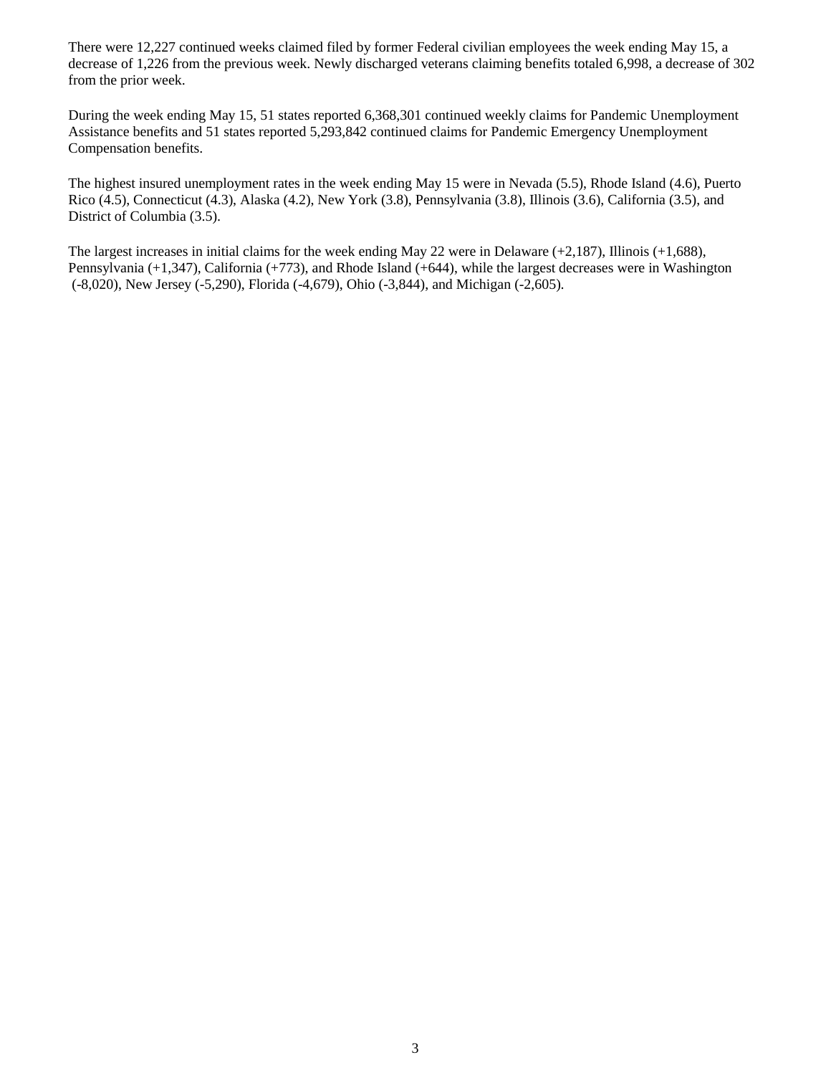There were 12,227 continued weeks claimed filed by former Federal civilian employees the week ending May 15, a decrease of 1,226 from the previous week. Newly discharged veterans claiming benefits totaled 6,998, a decrease of 302 from the prior week.

During the week ending May 15, 51 states reported 6,368,301 continued weekly claims for Pandemic Unemployment Assistance benefits and 51 states reported 5,293,842 continued claims for Pandemic Emergency Unemployment Compensation benefits.

The highest insured unemployment rates in the week ending May 15 were in Nevada (5.5), Rhode Island (4.6), Puerto Rico (4.5), Connecticut (4.3), Alaska (4.2), New York (3.8), Pennsylvania (3.8), Illinois (3.6), California (3.5), and District of Columbia (3.5).

The largest increases in initial claims for the week ending May 22 were in Delaware (+2,187), Illinois (+1,688), Pennsylvania (+1,347), California (+773), and Rhode Island (+644), while the largest decreases were in Washington (-8,020), New Jersey (-5,290), Florida (-4,679), Ohio (-3,844), and Michigan (-2,605).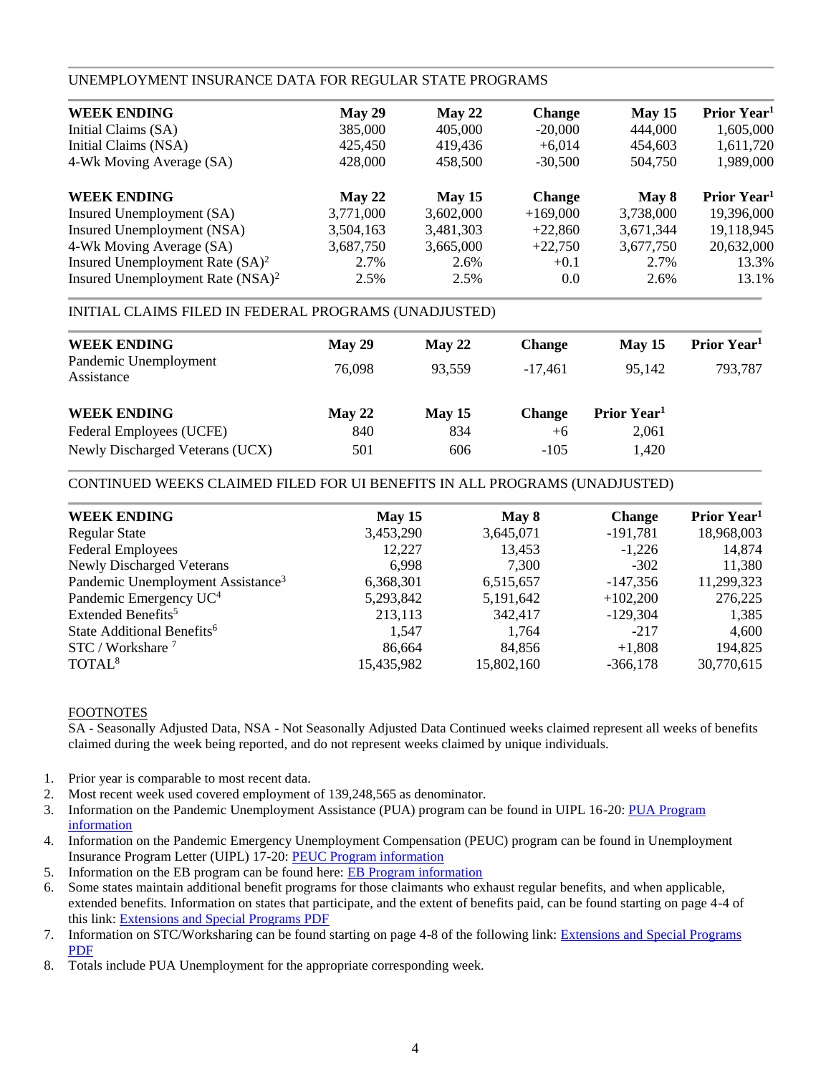### UNEMPLOYMENT INSURANCE DATA FOR REGULAR STATE PROGRAMS

| May 29    | May 22    | <b>Change</b> | May 15    | Prior Year <sup>1</sup> |
|-----------|-----------|---------------|-----------|-------------------------|
| 385,000   | 405,000   | $-20,000$     | 444,000   | 1,605,000               |
| 425,450   | 419.436   | $+6,014$      | 454,603   | 1,611,720               |
| 428,000   | 458,500   | $-30,500$     | 504,750   | 1,989,000               |
| May 22    | May $15$  | <b>Change</b> | May 8     | Prior Year <sup>1</sup> |
| 3,771,000 | 3,602,000 | $+169,000$    | 3,738,000 | 19,396,000              |
| 3,504,163 | 3,481,303 | $+22,860$     | 3,671,344 | 19,118,945              |
| 3,687,750 | 3,665,000 | $+22,750$     | 3,677,750 | 20,632,000              |
| 2.7%      | 2.6%      | $+0.1$        | 2.7%      | 13.3%                   |
| 2.5%      | 2.5%      | 0.0           | 2.6%      | 13.1%                   |
|           |           |               |           |                         |

### INITIAL CLAIMS FILED IN FEDERAL PROGRAMS (UNADJUSTED)

| May 29 | May 22 | <b>Change</b> | May 15                  | Prior Year <sup>1</sup> |
|--------|--------|---------------|-------------------------|-------------------------|
| 76,098 | 93.559 | $-17.461$     | 95.142                  | 793,787                 |
| May 22 | May 15 | <b>Change</b> | Prior Year <sup>1</sup> |                         |
| 840    | 834    | $+6$          | 2,061                   |                         |
| 501    | 606    | $-105$        | 1,420                   |                         |
|        |        |               |                         |                         |

#### CONTINUED WEEKS CLAIMED FILED FOR UI BENEFITS IN ALL PROGRAMS (UNADJUSTED)

| <b>WEEK ENDING</b>                            | May 15     | May 8      | <b>Change</b> | Prior Year <sup>1</sup> |
|-----------------------------------------------|------------|------------|---------------|-------------------------|
| <b>Regular State</b>                          | 3,453,290  | 3,645,071  | $-191,781$    | 18,968,003              |
| <b>Federal Employees</b>                      | 12,227     | 13,453     | $-1,226$      | 14,874                  |
| <b>Newly Discharged Veterans</b>              | 6.998      | 7,300      | $-302$        | 11,380                  |
| Pandemic Unemployment Assistance <sup>3</sup> | 6,368,301  | 6,515,657  | $-147.356$    | 11,299,323              |
| Pandemic Emergency UC <sup>4</sup>            | 5,293,842  | 5,191,642  | $+102,200$    | 276,225                 |
| Extended Benefits <sup>5</sup>                | 213,113    | 342,417    | $-129.304$    | 1,385                   |
| State Additional Benefits <sup>6</sup>        | 1.547      | 1,764      | $-217$        | 4,600                   |
| STC / Workshare <sup>7</sup>                  | 86,664     | 84.856     | $+1,808$      | 194,825                 |
| TOTAL <sup>8</sup>                            | 15,435,982 | 15,802,160 | $-366,178$    | 30,770,615              |
|                                               |            |            |               |                         |

#### FOOTNOTES

SA - Seasonally Adjusted Data, NSA - Not Seasonally Adjusted Data Continued weeks claimed represent all weeks of benefits claimed during the week being reported, and do not represent weeks claimed by unique individuals.

- 1. Prior year is comparable to most recent data.
- 2. Most recent week used covered employment of 139,248,565 as denominator.
- 3. Information on the Pandemic Unemployment Assistance (PUA) program can be found in UIPL 16-20: [PUA Program](https://wdr.doleta.gov/directives/corr_doc.cfm?DOCN=4628) [information](https://wdr.doleta.gov/directives/corr_doc.cfm?DOCN=4628)
- 4. Information on the Pandemic Emergency Unemployment Compensation (PEUC) program can be found in Unemployment Insurance Program Letter (UIPL) 17-20: [PEUC Program information](https://wdr.doleta.gov/directives/corr_doc.cfm?DOCN=8452)
- 5. Information on the EB program can be found here: **EB Program information**
- 6. Some states maintain additional benefit programs for those claimants who exhaust regular benefits, and when applicable, extended benefits. Information on states that participate, and the extent of benefits paid, can be found starting on page 4-4 of this link: [Extensions and Special Programs PDF](https://oui.doleta.gov/unemploy/pdf/uilawcompar/2020/special.pdf#page=4)
- 7. Information on STC/Worksharing can be found starting on page 4-8 of the following link: [Extensions and Special Programs](https://oui.doleta.gov/unemploy/pdf/uilawcompar/2019/special.pdf#page=8) [PDF](https://oui.doleta.gov/unemploy/pdf/uilawcompar/2019/special.pdf#page=8)
- 8. Totals include PUA Unemployment for the appropriate corresponding week.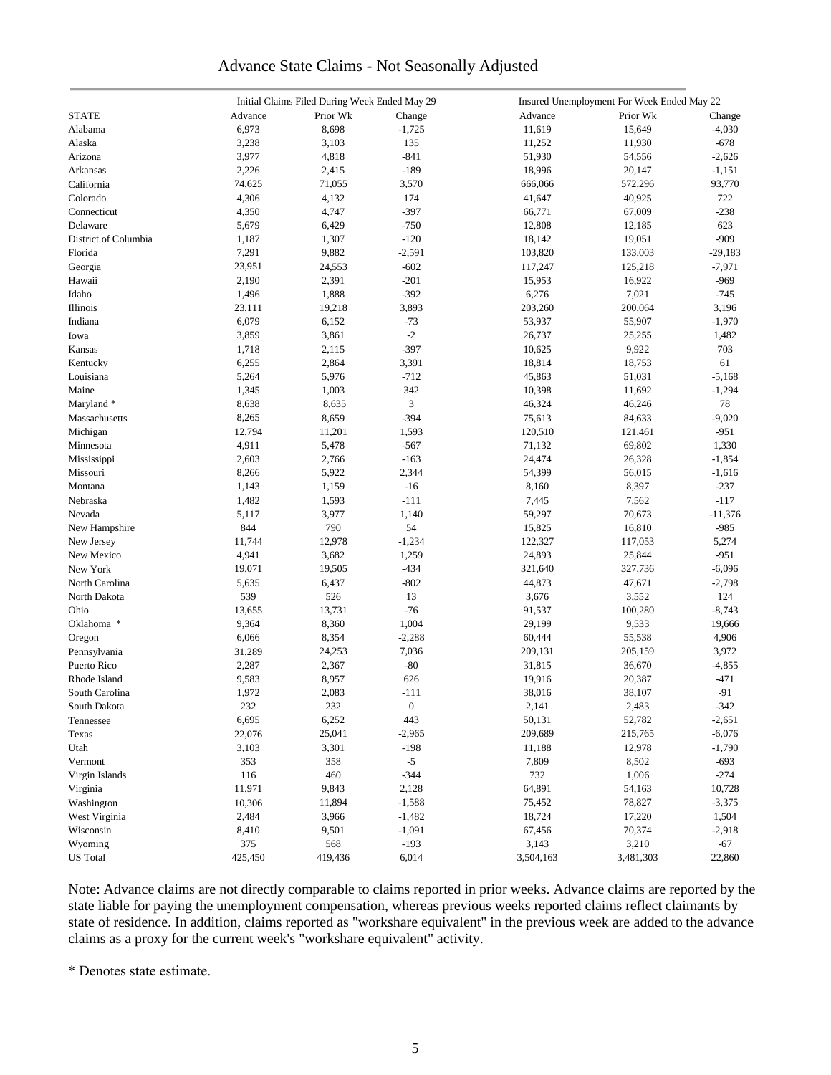### Advance State Claims - Not Seasonally Adjusted

|                      | Initial Claims Filed During Week Ended May 29 |          |                  |           | Insured Unemployment For Week Ended May 22 |               |  |  |
|----------------------|-----------------------------------------------|----------|------------------|-----------|--------------------------------------------|---------------|--|--|
| <b>STATE</b>         | Advance                                       | Prior Wk | Change           | Advance   | Prior Wk                                   | Change        |  |  |
| Alabama              | 6,973                                         | 8,698    | $-1,725$         | 11,619    | 15,649                                     | $-4,030$      |  |  |
| Alaska               | 3,238                                         | 3,103    | 135              | 11,252    | 11,930                                     | $-678$        |  |  |
| Arizona              | 3,977                                         | 4,818    | $-841$           | 51,930    | 54,556                                     | $-2,626$      |  |  |
| Arkansas             | 2,226                                         | 2,415    | $-189$           | 18,996    | 20,147                                     | $-1,151$      |  |  |
| California           | 74,625                                        | 71,055   | 3,570            | 666,066   | 572,296                                    | 93,770        |  |  |
| Colorado             | 4,306                                         | 4,132    | 174              | 41,647    | 40,925                                     | 722           |  |  |
|                      |                                               |          |                  |           |                                            |               |  |  |
| Connecticut          | 4,350                                         | 4,747    | $-397$<br>$-750$ | 66,771    | 67,009                                     | $-238$<br>623 |  |  |
| Delaware             | 5,679                                         | 6,429    |                  | 12,808    | 12,185                                     |               |  |  |
| District of Columbia | 1,187                                         | 1,307    | $-120$           | 18,142    | 19,051                                     | $-909$        |  |  |
| Florida              | 7,291                                         | 9,882    | $-2,591$         | 103,820   | 133,003                                    | $-29,183$     |  |  |
| Georgia              | 23,951                                        | 24,553   | $-602$           | 117,247   | 125,218                                    | $-7,971$      |  |  |
| Hawaii               | 2,190                                         | 2,391    | $-201$           | 15,953    | 16,922                                     | $-969$        |  |  |
| Idaho                | 1,496                                         | 1,888    | $-392$           | 6,276     | 7,021                                      | $-745$        |  |  |
| Illinois             | 23,111                                        | 19,218   | 3,893            | 203,260   | 200,064                                    | 3,196         |  |  |
| Indiana              | 6,079                                         | 6,152    | $-73$            | 53,937    | 55,907                                     | $-1,970$      |  |  |
| Iowa                 | 3,859                                         | 3,861    | $-2$             | 26,737    | 25,255                                     | 1,482         |  |  |
| Kansas               | 1,718                                         | 2,115    | $-397$           | 10,625    | 9,922                                      | 703           |  |  |
| Kentucky             | 6,255                                         | 2,864    | 3,391            | 18,814    | 18,753                                     | 61            |  |  |
| Louisiana            | 5,264                                         | 5,976    | $-712$           | 45,863    | 51,031                                     | $-5,168$      |  |  |
| Maine                | 1,345                                         | 1,003    | 342              | 10,398    | 11,692                                     | $-1,294$      |  |  |
| Maryland*            | 8,638                                         | 8,635    | $\mathfrak{Z}$   | 46,324    | 46,246                                     | 78            |  |  |
| Massachusetts        | 8,265                                         | 8,659    | $-394$           | 75,613    | 84,633                                     | $-9,020$      |  |  |
| Michigan             | 12,794                                        | 11,201   | 1,593            | 120,510   | 121,461                                    | $-951$        |  |  |
| Minnesota            | 4,911                                         | 5,478    | $-567$           | 71,132    | 69,802                                     | 1,330         |  |  |
| Mississippi          | 2,603                                         | 2,766    | $-163$           | 24,474    | 26,328                                     | $-1,854$      |  |  |
| Missouri             | 8,266                                         | 5,922    | 2,344            | 54,399    | 56,015                                     | $-1,616$      |  |  |
| Montana              | 1,143                                         | 1,159    | $-16$            | 8,160     | 8,397                                      | $-237$        |  |  |
| Nebraska             | 1,482                                         | 1,593    | $-111$           | 7,445     | 7,562                                      | $-117$        |  |  |
| Nevada               | 5,117                                         | 3,977    | 1,140            | 59,297    | 70,673                                     | $-11,376$     |  |  |
| New Hampshire        | 844                                           | 790      | 54               | 15,825    | 16,810                                     | $-985$        |  |  |
| New Jersey           | 11,744                                        | 12,978   | $-1,234$         | 122,327   | 117,053                                    | 5,274         |  |  |
| New Mexico           | 4,941                                         | 3,682    | 1,259            | 24,893    | 25,844                                     | $-951$        |  |  |
| New York             | 19,071                                        | 19,505   | $-434$           | 321,640   | 327,736                                    | $-6,096$      |  |  |
|                      |                                               |          | $-802$           |           |                                            |               |  |  |
| North Carolina       | 5,635                                         | 6,437    |                  | 44,873    | 47,671                                     | $-2,798$      |  |  |
| North Dakota         | 539                                           | 526      | 13               | 3,676     | 3,552                                      | 124           |  |  |
| Ohio                 | 13,655                                        | 13,731   | $-76$            | 91,537    | 100,280                                    | $-8,743$      |  |  |
| Oklahoma *           | 9,364                                         | 8,360    | 1,004            | 29,199    | 9,533                                      | 19,666        |  |  |
| Oregon               | 6,066                                         | 8,354    | $-2,288$         | 60,444    | 55,538                                     | 4,906         |  |  |
| Pennsylvania         | 31,289                                        | 24,253   | 7,036            | 209,131   | 205,159                                    | 3,972         |  |  |
| Puerto Rico          | 2,287                                         | 2,367    | $-80$            | 31,815    | 36,670                                     | $-4,855$      |  |  |
| Rhode Island         | 9,583                                         | 8,957    | 626              | 19,916    | 20,387                                     | $-471$        |  |  |
| South Carolina       | 1,972                                         | 2,083    | $-111$           | 38,016    | 38,107                                     | $-91$         |  |  |
| South Dakota         | 232                                           | 232      | $\boldsymbol{0}$ | 2,141     | 2,483                                      | $-342$        |  |  |
| Tennessee            | 6,695                                         | 6,252    | 443              | 50,131    | 52,782                                     | $-2,651$      |  |  |
| Texas                | 22,076                                        | 25,041   | $-2,965$         | 209,689   | 215,765                                    | $-6,076$      |  |  |
| Utah                 | 3,103                                         | 3,301    | $-198$           | 11,188    | 12,978                                     | $-1,790$      |  |  |
| Vermont              | 353                                           | 358      | $-5$             | 7,809     | 8,502                                      | $-693$        |  |  |
| Virgin Islands       | 116                                           | 460      | $-344$           | 732       | 1,006                                      | $-274$        |  |  |
| Virginia             | 11,971                                        | 9,843    | 2,128            | 64,891    | 54,163                                     | 10,728        |  |  |
| Washington           | 10,306                                        | 11,894   | $-1,588$         | 75,452    | 78,827                                     | $-3,375$      |  |  |
| West Virginia        | 2,484                                         | 3,966    | $-1,482$         | 18,724    | 17,220                                     | 1,504         |  |  |
| Wisconsin            | 8,410                                         | 9,501    | $-1,091$         | 67,456    | 70,374                                     | $-2,918$      |  |  |
| Wyoming              | 375                                           | 568      | $-193$           | 3,143     | 3,210                                      | $-67$         |  |  |
| <b>US</b> Total      | 425,450                                       | 419,436  | 6,014            | 3,504,163 | 3,481,303                                  | 22,860        |  |  |
|                      |                                               |          |                  |           |                                            |               |  |  |

Note: Advance claims are not directly comparable to claims reported in prior weeks. Advance claims are reported by the state liable for paying the unemployment compensation, whereas previous weeks reported claims reflect claimants by state of residence. In addition, claims reported as "workshare equivalent" in the previous week are added to the advance claims as a proxy for the current week's "workshare equivalent" activity.

\* Denotes state estimate.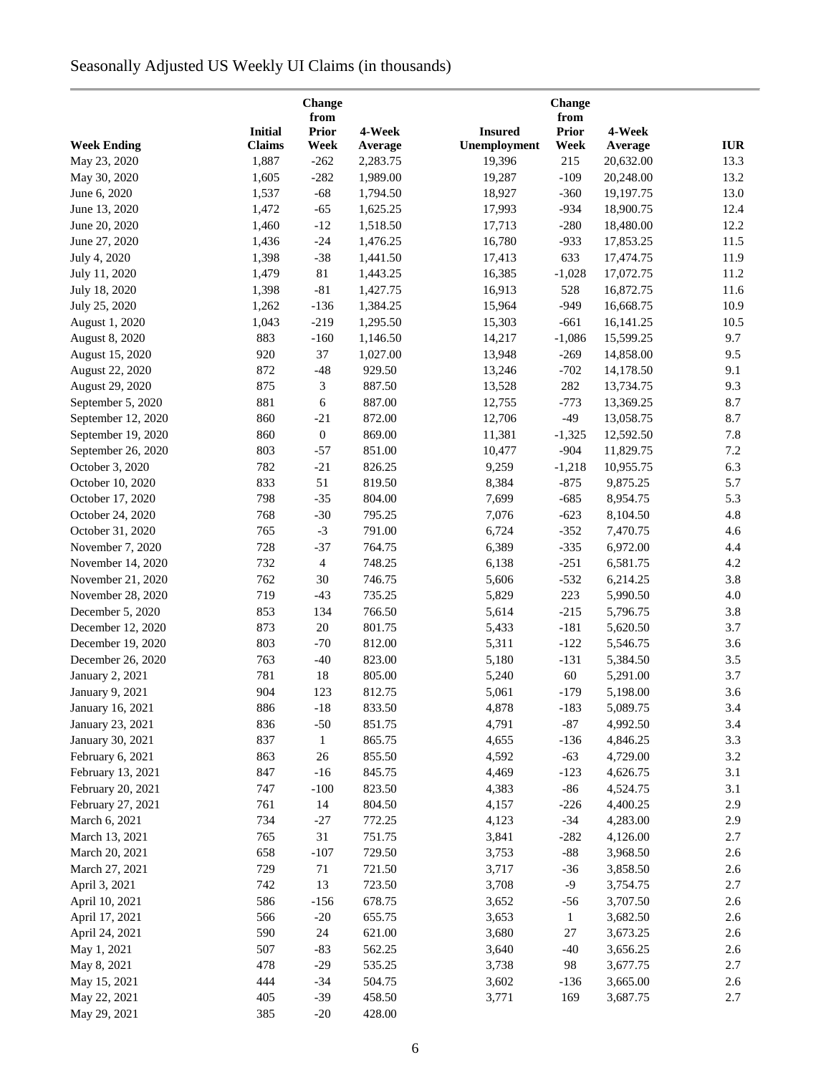# Seasonally Adjusted US Weekly UI Claims (in thousands)

|                              |                | Change<br>from   |                  |                | <b>Change</b><br>from |           |            |
|------------------------------|----------------|------------------|------------------|----------------|-----------------------|-----------|------------|
|                              | <b>Initial</b> | <b>Prior</b>     | 4-Week           | <b>Insured</b> | <b>Prior</b>          | 4-Week    |            |
| <b>Week Ending</b>           | <b>Claims</b>  | Week             | Average          | Unemployment   | Week                  | Average   | <b>IUR</b> |
| May 23, 2020                 | 1,887          | $-262$           | 2,283.75         | 19,396         | 215                   | 20,632.00 | 13.3       |
| May 30, 2020                 | 1,605          | $-282$           | 1,989.00         | 19,287         | $-109$                | 20,248.00 | 13.2       |
| June 6, 2020                 | 1,537          | $-68$            | 1,794.50         | 18,927         | $-360$                | 19,197.75 | 13.0       |
| June 13, 2020                | 1,472          | $-65$            | 1,625.25         | 17,993         | $-934$                | 18,900.75 | 12.4       |
| June 20, 2020                | 1,460          | $-12$            | 1,518.50         | 17,713         | $-280$                | 18,480.00 | 12.2       |
| June 27, 2020                | 1,436          | $-24$            | 1,476.25         | 16,780         | $-933$                | 17,853.25 | 11.5       |
| July 4, 2020                 | 1,398          | $-38$            | 1,441.50         | 17,413         | 633                   | 17,474.75 | 11.9       |
| July 11, 2020                | 1,479          | $81\,$           | 1,443.25         | 16,385         | $-1,028$              | 17,072.75 | 11.2       |
| July 18, 2020                | 1,398          | $-81$            | 1,427.75         | 16,913         | 528                   | 16,872.75 | 11.6       |
| July 25, 2020                | 1,262          | $-136$           | 1,384.25         | 15,964         | $-949$                | 16,668.75 | 10.9       |
| August 1, 2020               | 1,043          | $-219$           | 1,295.50         | 15,303         | $-661$                | 16,141.25 | 10.5       |
| <b>August 8, 2020</b>        | 883            | $-160$           | 1,146.50         | 14,217         | $-1,086$              | 15,599.25 | 9.7        |
| August 15, 2020              | 920            | 37               | 1,027.00         | 13,948         | $-269$                | 14,858.00 | 9.5        |
| August 22, 2020              | 872            | $-48$            | 929.50           | 13,246         | $-702$                | 14,178.50 | 9.1        |
| August 29, 2020              | 875            | 3                | 887.50           | 13,528         | 282                   | 13,734.75 | 9.3        |
|                              | 881            | $\sqrt{6}$       | 887.00           |                |                       | 13,369.25 | 8.7        |
| September 5, 2020            |                |                  |                  | 12,755         | $-773$                |           |            |
| September 12, 2020           | 860            | $-21$            | 872.00           | 12,706         | $-49$                 | 13,058.75 | 8.7        |
| September 19, 2020           | 860            | $\boldsymbol{0}$ | 869.00           | 11,381         | $-1,325$              | 12,592.50 | 7.8        |
| September 26, 2020           | 803            | $-57$            | 851.00           | 10,477         | $-904$                | 11,829.75 | 7.2        |
| October 3, 2020              | 782            | $-21$            | 826.25           | 9,259          | $-1,218$              | 10,955.75 | 6.3        |
| October 10, 2020             | 833            | 51               | 819.50           | 8,384          | $-875$                | 9,875.25  | 5.7        |
| October 17, 2020             | 798            | $-35$            | 804.00           | 7,699          | $-685$                | 8,954.75  | 5.3        |
| October 24, 2020             | 768            | $-30$            | 795.25           | 7,076          | $-623$                | 8,104.50  | 4.8        |
| October 31, 2020             | 765            | $-3$             | 791.00           | 6,724          | $-352$                | 7,470.75  | 4.6        |
| November 7, 2020             | 728            | $-37$            | 764.75           | 6,389          | $-335$                | 6,972.00  | 4.4        |
| November 14, 2020            | 732            | $\overline{4}$   | 748.25           | 6,138          | $-251$                | 6,581.75  | 4.2        |
| November 21, 2020            | 762            | 30               | 746.75           | 5,606          | $-532$                | 6,214.25  | 3.8        |
| November 28, 2020            | 719            | $-43$            | 735.25           | 5,829          | 223                   | 5,990.50  | 4.0        |
| December 5, 2020             | 853            | 134              | 766.50           | 5,614          | $-215$                | 5,796.75  | 3.8        |
| December 12, 2020            | 873            | 20               | 801.75           | 5,433          | $-181$                | 5,620.50  | 3.7        |
| December 19, 2020            | 803            | $-70$            | 812.00           | 5,311          | $-122$                | 5,546.75  | 3.6        |
| December 26, 2020            | 763            | $-40$            | 823.00           | 5,180          | $-131$                | 5,384.50  | 3.5        |
| January 2, 2021              | 781            | 18               | 805.00           | 5,240          | 60                    | 5,291.00  | 3.7        |
| January 9, 2021              | 904            | 123              | 812.75           | 5,061          | $-179$                | 5,198.00  | 3.6        |
| January 16, 2021             | 886            | $-18$            | 833.50           | 4,878          | $-183$                | 5,089.75  | 3.4        |
| January 23, 2021             | 836            | $-50$            | 851.75           | 4,791          | $-87$                 | 4,992.50  | 3.4        |
| January 30, 2021             | 837            | $\mathbf{1}$     | 865.75           | 4,655          | $-136$                | 4,846.25  | 3.3        |
| February 6, 2021             | 863            | 26               | 855.50           | 4,592          | $-63$                 | 4,729.00  | 3.2        |
| February 13, 2021            | 847            | $-16$            | 845.75           | 4,469          | $-123$                | 4,626.75  | 3.1        |
| February 20, 2021            | 747            | $-100$           | 823.50           | 4,383          | $-86$                 | 4,524.75  | 3.1        |
| February 27, 2021            | 761            | 14               | 804.50           | 4,157          | $-226$                | 4,400.25  | 2.9        |
| March 6, 2021                | 734            | $-27$            | 772.25           | 4,123          | $-34$                 | 4,283.00  | 2.9        |
| March 13, 2021               | 765            | 31               | 751.75           | 3,841          | $-282$                | 4,126.00  | 2.7        |
| March 20, 2021               | 658            | $-107$           | 729.50           | 3,753          | $-88$                 | 3,968.50  | 2.6        |
| March 27, 2021               | 729            | 71               | 721.50           | 3,717          | $-36$                 | 3,858.50  | 2.6        |
| April 3, 2021                | 742            | 13               | 723.50           | 3,708          | $-9$                  | 3,754.75  | 2.7        |
| April 10, 2021               | 586            | $-156$           | 678.75           | 3,652          | $-56$                 | 3,707.50  | 2.6        |
| April 17, 2021               | 566            | $-20$            | 655.75           | 3,653          | $\mathbf{1}$          | 3,682.50  | 2.6        |
| April 24, 2021               | 590            | 24               | 621.00           | 3,680          | 27                    | 3,673.25  | 2.6        |
| May 1, 2021                  | 507            | $-83$            | 562.25           | 3,640          | $-40$                 | 3,656.25  | 2.6        |
| May 8, 2021                  | 478            | $-29$            | 535.25           | 3,738          | 98                    | 3,677.75  | 2.7        |
|                              | 444            | $-34$            | 504.75           |                | $-136$                | 3,665.00  | 2.6        |
| May 15, 2021                 | 405            | $-39$            |                  | 3,602          | 169                   |           | 2.7        |
| May 22, 2021<br>May 29, 2021 | 385            | $-20$            | 458.50<br>428.00 | 3,771          |                       | 3,687.75  |            |
|                              |                |                  |                  |                |                       |           |            |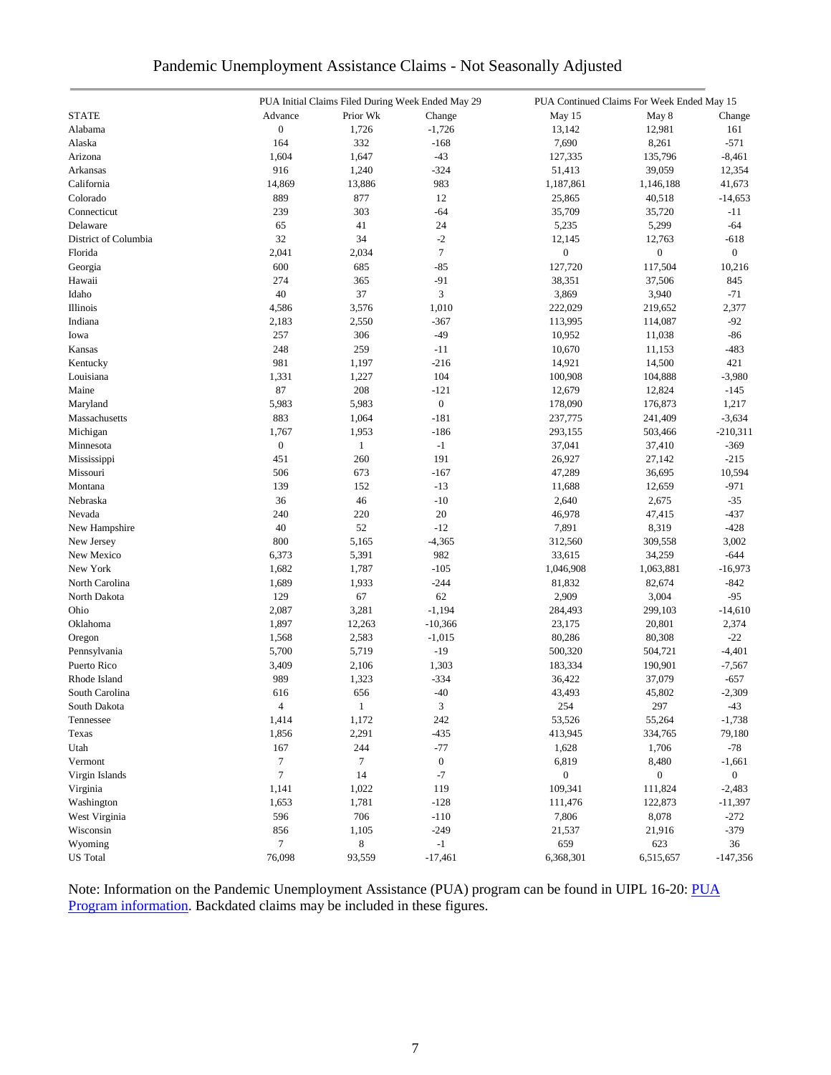|                           |                  |              | PUA Initial Claims Filed During Week Ended May 29 | PUA Continued Claims For Week Ended May 15 |                   |                |  |
|---------------------------|------------------|--------------|---------------------------------------------------|--------------------------------------------|-------------------|----------------|--|
| <b>STATE</b>              | Advance          | Prior Wk     | Change                                            | May 15                                     | May 8             | Change         |  |
| Alabama                   | $\boldsymbol{0}$ | 1,726        | $-1,726$                                          | 13,142                                     | 12,981            | 161            |  |
| Alaska                    | 164              | 332          | $-168$                                            | 7,690                                      | 8,261             | $-571$         |  |
| Arizona                   | 1,604            | 1,647        | $-43$                                             | 127,335                                    | 135,796           | $-8,461$       |  |
| Arkansas                  | 916              | 1,240        | $-324$                                            | 51,413                                     | 39,059            | 12,354         |  |
| California                | 14,869           | 13,886       | 983                                               | 1,187,861                                  | 1,146,188         | 41,673         |  |
| Colorado                  | 889              | 877          | 12                                                | 25,865                                     | 40,518            | $-14,653$      |  |
| Connecticut               | 239              | 303          | $-64$                                             | 35,709                                     | 35,720            | $-11$          |  |
| Delaware                  | 65               | 41           | 24                                                | 5,235                                      | 5,299             | $-64$          |  |
| District of Columbia      | 32               | 34           | $-2$                                              | 12,145                                     | 12,763            | $-618$         |  |
| Florida                   | 2,041            | 2,034        | $\boldsymbol{7}$                                  | $\boldsymbol{0}$                           | $\boldsymbol{0}$  | $\overline{0}$ |  |
| Georgia                   | 600              | 685          | $-85$                                             | 127,720                                    | 117,504           | 10,216         |  |
| Hawaii                    | 274              | 365          | $-91$                                             | 38,351                                     | 37,506            | 845            |  |
| Idaho                     | 40               | 37           | $\mathfrak{Z}$                                    | 3,869                                      | 3,940             | $-71$          |  |
| Illinois                  | 4,586            | 3,576        | 1,010                                             | 222,029                                    | 219,652           | 2,377          |  |
| Indiana                   | 2,183            | 2,550        | $-367$                                            | 113,995                                    | 114,087           | $-92$          |  |
| Iowa                      | 257              | 306          | $-49$                                             | 10,952                                     | 11,038            | $-86$          |  |
| Kansas                    | 248              | 259          | $-11$                                             | 10,670                                     | 11,153            | $-483$         |  |
| Kentucky                  | 981              | 1,197        | $-216$                                            | 14,921                                     | 14,500            | 421            |  |
| Louisiana                 | 1,331            | 1,227        | 104                                               | 100,908                                    | 104,888           | $-3,980$       |  |
| Maine                     | $87\,$           | 208          | $-121$                                            | 12,679                                     |                   | $-145$         |  |
|                           | 5,983            | 5,983        | $\boldsymbol{0}$                                  | 178,090                                    | 12,824<br>176,873 | 1,217          |  |
| Maryland<br>Massachusetts |                  |              | $-181$                                            |                                            |                   |                |  |
|                           | 883              | 1,064        |                                                   | 237,775                                    | 241,409           | $-3,634$       |  |
| Michigan                  | 1,767            | 1,953        | $-186$                                            | 293,155                                    | 503,466           | $-210,311$     |  |
| Minnesota                 | $\boldsymbol{0}$ | $\mathbf{1}$ | $^{\rm -1}$                                       | 37,041                                     | 37,410            | $-369$         |  |
| Mississippi               | 451              | 260          | 191                                               | 26,927                                     | 27,142            | $-215$         |  |
| Missouri                  | 506              | 673          | $-167$                                            | 47,289                                     | 36,695            | 10,594         |  |
| Montana                   | 139              | 152          | $-13$                                             | 11,688                                     | 12,659            | $-971$         |  |
| Nebraska                  | 36               | 46           | $-10$                                             | 2,640                                      | 2,675             | $-35$          |  |
| Nevada                    | 240              | 220          | 20                                                | 46,978                                     | 47,415            | $-437$         |  |
| New Hampshire             | 40               | 52           | $-12$                                             | 7,891                                      | 8,319             | $-428$         |  |
| New Jersey                | 800              | 5,165        | $-4,365$                                          | 312,560                                    | 309,558           | 3,002          |  |
| New Mexico                | 6,373            | 5,391        | 982                                               | 33,615                                     | 34,259            | $-644$         |  |
| New York                  | 1,682            | 1,787        | $-105$                                            | 1,046,908                                  | 1,063,881         | $-16,973$      |  |
| North Carolina            | 1,689            | 1,933        | $-244$                                            | 81,832                                     | 82,674            | $-842$         |  |
| North Dakota              | 129              | 67           | 62                                                | 2,909                                      | 3,004             | $-95$          |  |
| Ohio                      | 2,087            | 3,281        | $-1,194$                                          | 284,493                                    | 299,103           | $-14,610$      |  |
| Oklahoma                  | 1,897            | 12,263       | $-10,366$                                         | 23,175                                     | 20,801            | 2,374          |  |
| Oregon                    | 1,568            | 2,583        | $-1,015$                                          | 80,286                                     | 80,308            | $-22$          |  |
| Pennsylvania              | 5,700            | 5,719        | $-19$                                             | 500,320                                    | 504,721           | $-4,401$       |  |
| Puerto Rico               | 3,409            | 2,106        | 1,303                                             | 183,334                                    | 190,901           | $-7,567$       |  |
| Rhode Island              | 989              | 1,323        | $-334$                                            | 36,422                                     | 37,079            | $-657$         |  |
| South Carolina            | 616              | 656          | $-40$                                             | 43,493                                     | 45,802            | $-2,309$       |  |
| South Dakota              | 4                | 1            | 3                                                 | 254                                        | 297               | -43            |  |
| Tennessee                 | 1,414            | 1,172        | 242                                               | 53,526                                     | 55,264            | $-1,738$       |  |
| Texas                     | 1,856            | 2,291        | $-435$                                            | 413,945                                    | 334,765           | 79,180         |  |
| Utah                      | 167              | 244          | $-77$                                             | 1,628                                      | 1,706             | $-78$          |  |
| Vermont                   | $\boldsymbol{7}$ | $\tau$       | $\boldsymbol{0}$                                  | 6,819                                      | 8,480             | $-1,661$       |  |
| Virgin Islands            | $\tau$           | 14           | $-7$                                              | $\boldsymbol{0}$                           | $\boldsymbol{0}$  | $\overline{0}$ |  |
| Virginia                  | 1,141            | 1,022        | 119                                               | 109,341                                    | 111,824           | $-2,483$       |  |
| Washington                | 1,653            | 1,781        | $-128$                                            | 111,476                                    | 122,873           | $-11,397$      |  |
| West Virginia             | 596              | 706          | $-110$                                            | 7,806                                      | 8,078             | $-272$         |  |
| Wisconsin                 | 856              | 1,105        | $-249$                                            | 21,537                                     | 21,916            | $-379$         |  |
| Wyoming                   | $\boldsymbol{7}$ | 8            | $-1$                                              | 659                                        | 623               | 36             |  |
| <b>US</b> Total           | 76,098           | 93,559       | $-17,461$                                         | 6,368,301                                  | 6,515,657         | $-147,356$     |  |

### Pandemic Unemployment Assistance Claims - Not Seasonally Adjusted

Note: Information on the Pandemic Unemployment Assistance (PUA) program can be found in UIPL 16-20: PUA [Program information.](https://wdr.doleta.gov/directives/corr_doc.cfm?DOCN=4628) Backdated claims may be included in these figures.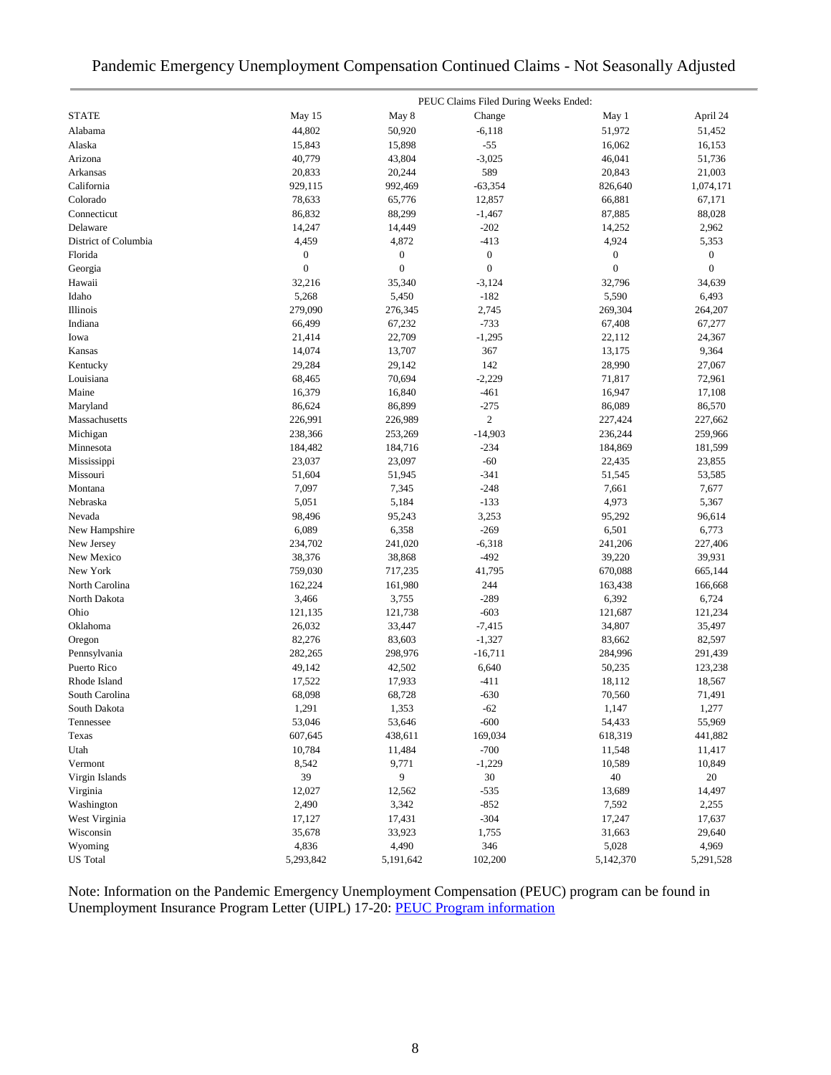## Pandemic Emergency Unemployment Compensation Continued Claims - Not Seasonally Adjusted

|                      |                  |                  | PEUC Claims Filed During Weeks Ended: |                  |              |
|----------------------|------------------|------------------|---------------------------------------|------------------|--------------|
| <b>STATE</b>         | May 15           | May 8            | Change                                | May 1            | April 24     |
| Alabama              | 44.802           | 50,920           | $-6,118$                              | 51,972           | 51,452       |
| Alaska               | 15,843           | 15,898           | $-55$                                 | 16,062           | 16,153       |
| Arizona              | 40,779           | 43,804           | $-3,025$                              | 46,041           | 51,736       |
| Arkansas             | 20,833           | 20,244           | 589                                   | 20,843           | 21,003       |
| California           | 929,115          | 992,469          | $-63,354$                             | 826,640          | 1,074,171    |
| Colorado             | 78,633           | 65,776           | 12,857                                | 66,881           | 67,171       |
| Connecticut          | 86,832           | 88,299           | $-1,467$                              | 87,885           | 88,028       |
| Delaware             | 14,247           | 14,449           | $-202$                                | 14,252           | 2,962        |
| District of Columbia | 4,459            | 4,872            | $-413$                                | 4,924            | 5,353        |
| Florida              | 0                | $\boldsymbol{0}$ | $\boldsymbol{0}$                      | $\boldsymbol{0}$ | 0            |
| Georgia              | $\boldsymbol{0}$ | $\boldsymbol{0}$ | $\boldsymbol{0}$                      | $\boldsymbol{0}$ | $\mathbf{0}$ |
| Hawaii               | 32,216           | 35,340           | $-3,124$                              | 32,796           | 34,639       |
| Idaho                | 5,268            | 5,450            | $-182$                                | 5,590            | 6,493        |
| Illinois             | 279,090          | 276,345          | 2,745                                 | 269,304          | 264,207      |
| Indiana              | 66,499           | 67,232           | $-733$                                | 67,408           | 67,277       |
| Iowa                 | 21,414           | 22,709           | $-1,295$                              | 22,112           | 24,367       |
| Kansas               | 14,074           | 13,707           | 367                                   | 13,175           | 9,364        |
| Kentucky             | 29,284           | 29,142           | 142                                   | 28,990           | 27,067       |
| Louisiana            | 68,465           | 70,694           | $-2,229$                              | 71,817           | 72,961       |
| Maine                | 16,379           | 16,840           | $-461$                                | 16,947           | 17,108       |
| Maryland             | 86,624           | 86,899           | $-275$                                | 86,089           | 86,570       |
| Massachusetts        | 226,991          | 226,989          | $\boldsymbol{2}$                      | 227,424          | 227,662      |
| Michigan             | 238,366          | 253,269          | $-14,903$                             | 236,244          | 259,966      |
| Minnesota            | 184,482          | 184,716          | $-234$                                | 184,869          | 181,599      |
| Mississippi          | 23,037           | 23,097           | $-60$                                 | 22,435           | 23,855       |
| Missouri             | 51,604           | 51,945           | $-341$                                | 51,545           | 53,585       |
| Montana              | 7,097            | 7,345            | $-248$                                | 7,661            | 7,677        |
| Nebraska             | 5,051            | 5,184            | $-133$                                | 4,973            | 5,367        |
| Nevada               | 98,496           | 95,243           | 3,253                                 | 95,292           | 96,614       |
| New Hampshire        | 6,089            | 6,358            | $-269$                                | 6,501            | 6,773        |
| New Jersey           | 234,702          | 241,020          | $-6,318$                              | 241,206          | 227,406      |
| New Mexico           | 38,376           | 38,868           | $-492$                                | 39,220           | 39,931       |
| New York             | 759,030          | 717,235          | 41,795                                | 670,088          | 665,144      |
| North Carolina       | 162,224          | 161,980          | 244                                   | 163,438          | 166,668      |
| North Dakota         | 3,466            | 3,755            | $-289$                                | 6,392            | 6,724        |
| Ohio                 | 121,135          | 121,738          | $-603$                                | 121,687          | 121,234      |
| Oklahoma             | 26,032           | 33,447           | $-7,415$                              | 34,807           | 35,497       |
| Oregon               | 82,276           | 83,603           | $-1,327$                              | 83,662           | 82,597       |
| Pennsylvania         | 282,265          | 298,976          | $-16,711$                             | 284,996          | 291,439      |
| Puerto Rico          | 49,142           | 42,502           | 6,640                                 | 50,235           | 123,238      |
| Rhode Island         | 17,522           | 17,933           | $-411$                                | 18,112           | 18,567       |
| South Carolina       | 68,098           | 68,728           | $-630$                                | 70,560           | 71,491       |
| South Dakota         | 1,291            | 1,353            | $-62$                                 | 1,147            | 1,277        |
| Tennessee            | 53,046           | 53,646           | $-600$                                | 54,433           | 55,969       |
| Texas                | 607,645          | 438,611          | 169,034                               | 618,319          | 441,882      |
| Utah                 | 10,784           | 11,484           | $-700$                                | 11,548           | 11,417       |
| Vermont              | 8,542            | 9,771            | $-1,229$                              | 10,589           | 10,849       |
| Virgin Islands       | 39               | 9                | 30                                    | 40               | 20           |
| Virginia             | 12,027           | 12,562           | $-535$                                | 13,689           | 14,497       |
| Washington           | 2,490            | 3,342            | $-852$                                | 7,592            | 2,255        |
| West Virginia        | 17,127           | 17,431           | $-304$                                | 17,247           | 17,637       |
| Wisconsin            | 35,678           | 33,923           | 1,755                                 | 31,663           | 29,640       |
| Wyoming              | 4,836            | 4,490            | 346                                   | 5,028            | 4,969        |
| <b>US</b> Total      | 5,293,842        | 5,191,642        | 102,200                               | 5,142,370        | 5,291,528    |
|                      |                  |                  |                                       |                  |              |

Note: Information on the Pandemic Emergency Unemployment Compensation (PEUC) program can be found in Unemployment Insurance Program Letter (UIPL) 17-20: [PEUC Program information](https://wdr.doleta.gov/directives/corr_doc.cfm?DOCN=8452)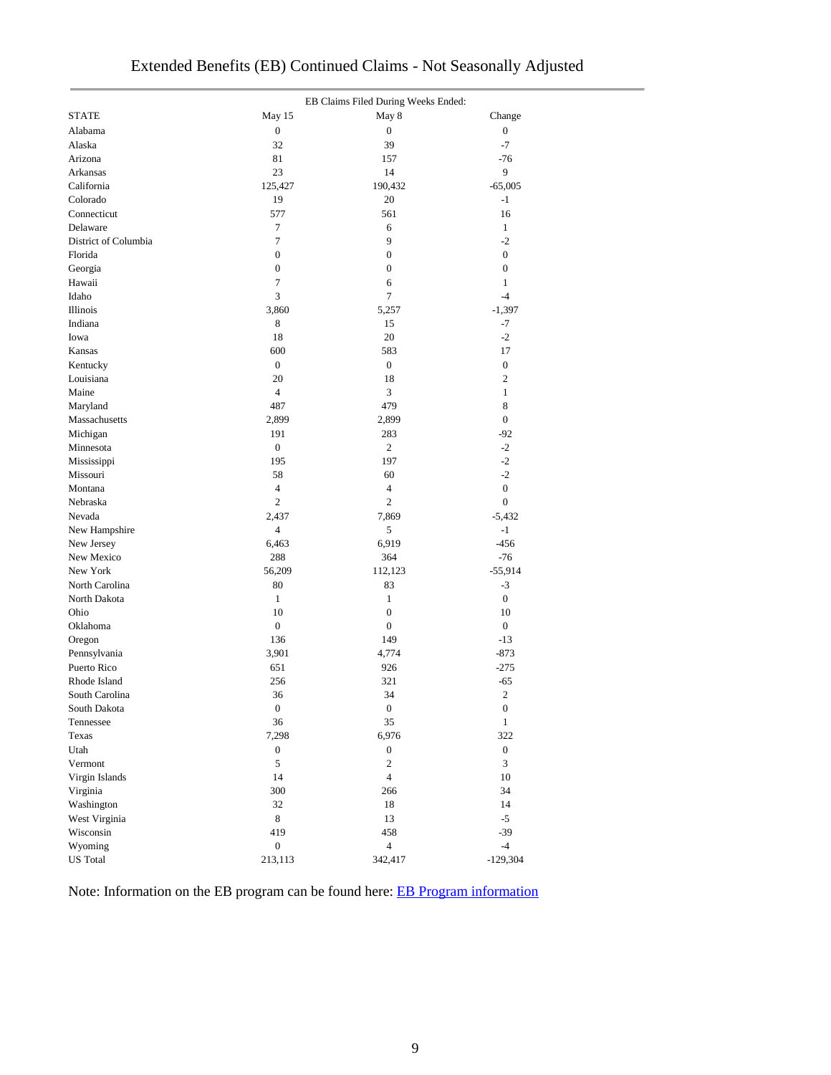|                      |                  | EB Claims Filed During Weeks Ended: |                  |
|----------------------|------------------|-------------------------------------|------------------|
| <b>STATE</b>         | May 15           | May 8                               | Change           |
| Alabama              | $\boldsymbol{0}$ | $\boldsymbol{0}$                    | $\boldsymbol{0}$ |
| Alaska               | 32               | 39                                  | $-7$             |
| Arizona              | 81               | 157                                 | $-76$            |
| Arkansas             | 23               | 14                                  | 9                |
| California           | 125,427          | 190,432                             | $-65,005$        |
| Colorado             | 19               | 20                                  | $-1$             |
| Connecticut          | 577              | 561                                 | 16               |
| Delaware             | $\overline{7}$   | 6                                   | $\mathbf{1}$     |
| District of Columbia | $\tau$           | 9                                   | $-2$             |
| Florida              | $\boldsymbol{0}$ | $\boldsymbol{0}$                    | $\boldsymbol{0}$ |
| Georgia              | $\boldsymbol{0}$ | $\boldsymbol{0}$                    | $\boldsymbol{0}$ |
| Hawaii               | $\tau$           | 6                                   | $\mathbf{1}$     |
| Idaho                | 3                | 7                                   | $-4$             |
| Illinois             | 3,860            | 5,257                               | $-1,397$         |
| Indiana              | 8                | 15                                  | $-7$             |
| Iowa                 | 18               | 20                                  | $-2$             |
| Kansas               | 600              | 583                                 | 17               |
| Kentucky             | $\boldsymbol{0}$ | $\boldsymbol{0}$                    | $\boldsymbol{0}$ |
| Louisiana            | 20               | 18                                  | $\mathfrak{2}$   |
| Maine                | $\overline{4}$   | 3                                   | $\mathbf{1}$     |
| Maryland             | 487              | 479                                 | 8                |
| Massachusetts        | 2,899            | 2,899                               | $\boldsymbol{0}$ |
| Michigan             | 191              | 283                                 | $-92$            |
| Minnesota            | $\boldsymbol{0}$ | 2                                   | $-2$             |
| Mississippi          | 195              | 197                                 | $-2$             |
| Missouri             | 58               | 60                                  | $-2$             |
| Montana              | $\overline{4}$   | 4                                   | $\boldsymbol{0}$ |
| Nebraska             | $\overline{c}$   | $\overline{c}$                      | $\boldsymbol{0}$ |
| Nevada               | 2,437            | 7,869                               | $-5,432$         |
| New Hampshire        | $\overline{4}$   | 5                                   | $-1$             |
| New Jersey           | 6,463            | 6,919                               | $-456$           |
| New Mexico           | 288              | 364                                 | $-76$            |
| New York             | 56,209           | 112,123                             | $-55,914$        |
| North Carolina       | 80               | 83                                  | $-3$             |
| North Dakota         | $\mathbf{1}$     | $\mathbf{1}$                        | $\boldsymbol{0}$ |
| Ohio                 | 10               | $\boldsymbol{0}$                    | 10               |
| Oklahoma             | $\boldsymbol{0}$ | $\boldsymbol{0}$                    | $\boldsymbol{0}$ |
| Oregon               | 136              | 149                                 | $-13$            |
| Pennsylvania         | 3,901            | 4,774                               | $-873$           |
| Puerto Rico          | 651              | 926                                 | $-275$           |
| Rhode Island         | 256              | 321                                 | $-65$            |
| South Carolina       | 36               | 34                                  | $\sqrt{2}$       |
| South Dakota         | $\boldsymbol{0}$ | $\boldsymbol{0}$                    | $\boldsymbol{0}$ |
| Tennessee            | 36               | 35                                  | $\mathbf{1}$     |
| Texas                | 7,298            | 6,976                               | 322              |
| Utah                 | $\boldsymbol{0}$ | $\boldsymbol{0}$                    | $\boldsymbol{0}$ |
| Vermont              | $\sqrt{5}$       | $\overline{c}$                      | $\overline{3}$   |
| Virgin Islands       | 14               | $\overline{4}$                      | 10               |
| Virginia             | 300              | 266                                 | 34               |
| Washington           | 32               | 18                                  | 14               |
| West Virginia        | $\,8\,$          | 13                                  | $-5$             |
| Wisconsin            | 419              | 458                                 | $-39$            |
| Wyoming              | $\boldsymbol{0}$ | $\overline{4}$                      | $-4$             |
| <b>US</b> Total      | 213,113          | 342,417                             | $-129,304$       |

Note: Information on the EB program can be found here: [EB Program information](https://oui.doleta.gov/unemploy/extenben.asp)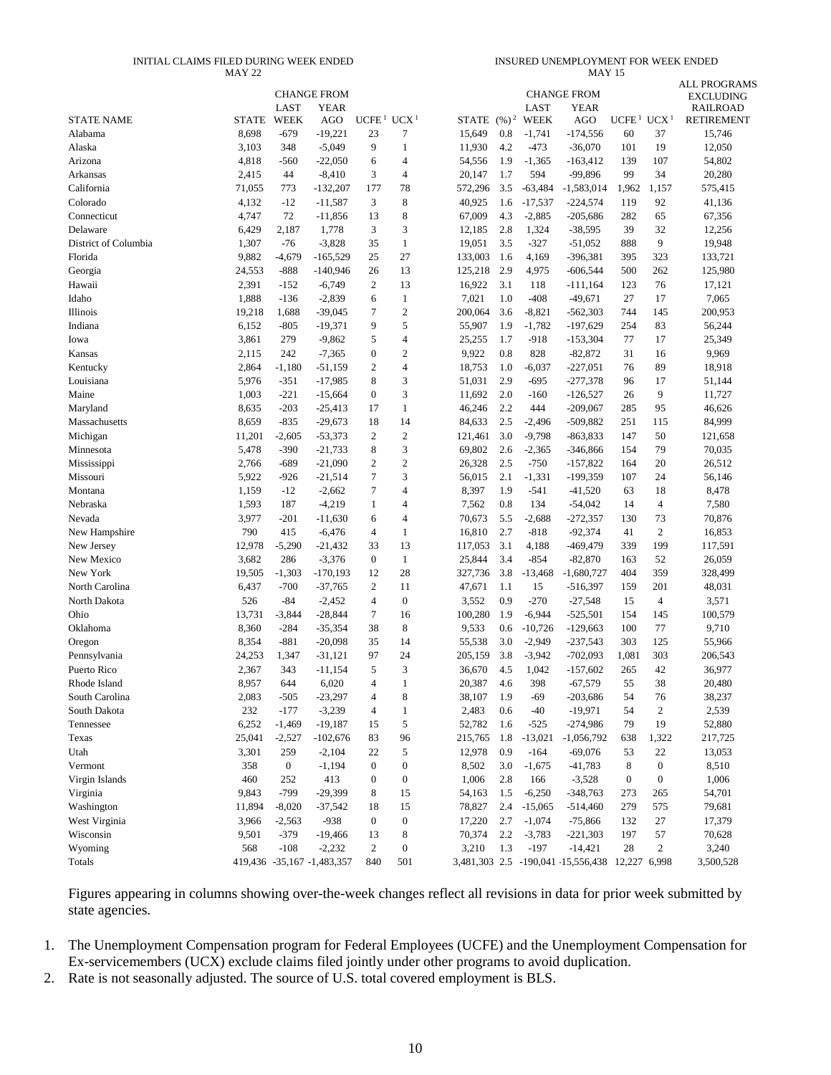#### INITIAL CLAIMS FILED DURING WEEK ENDED MAY 22

INSURED UNEMPLOYMENT FOR WEEK ENDED MAY 15

|                                |                |                  | <b>CHANGE FROM</b>         |                   |                  |                  |                   |              | <b>CHANGE FROM</b>                             |                                    |                  | <b>ALL PROGRAMS</b>                 |
|--------------------------------|----------------|------------------|----------------------------|-------------------|------------------|------------------|-------------------|--------------|------------------------------------------------|------------------------------------|------------------|-------------------------------------|
|                                |                | LAST             | <b>YEAR</b>                |                   |                  |                  |                   | LAST         | YEAR                                           |                                    |                  | <b>EXCLUDING</b><br><b>RAILROAD</b> |
| <b>STATE NAME</b>              | <b>STATE</b>   | <b>WEEK</b>      | AGO                        | UCFE <sup>1</sup> | UCX <sup>1</sup> | STATE            | $(\frac{9}{6})^2$ | WEEK         | AGO                                            | UCFE <sup>1</sup> UCX <sup>1</sup> |                  | <b>RETIREMENT</b>                   |
| Alabama                        | 8,698          | $-679$           | $-19,221$                  | 23                | 7                | 15,649           | 0.8               | $-1,741$     | $-174,556$                                     | 60                                 | 37               | 15,746                              |
| Alaska                         | 3,103          | 348              | $-5,049$                   | 9                 | $\mathbf{1}$     | 11,930           | 4.2               | $-473$       | $-36,070$                                      | 101                                | 19               | 12,050                              |
| Arizona                        | 4,818          | $-560$           | $-22,050$                  | 6                 | 4                | 54,556           | 1.9               | $-1,365$     | $-163,412$                                     | 139                                | 107              | 54,802                              |
| Arkansas                       | 2,415          | 44               | $-8,410$                   | 3                 | 4                | 20,147           | 1.7               | 594          | -99,896                                        | 99                                 | 34               | 20,280                              |
| California                     | 71,055         | 773              | $-132,207$                 | 177               | 78               | 572,296          | 3.5               | $-63,484$    | $-1,583,014$                                   | 1,962                              | 1,157            | 575,415                             |
| Colorado                       | 4,132          | $-12$            | $-11,587$                  | 3                 | 8                | 40,925           | 1.6               | $-17,537$    | $-224,574$                                     | 119                                | 92               | 41,136                              |
| Connecticut                    | 4,747          | 72               | $-11,856$                  | 13                | 8                | 67,009           | 4.3               | $-2,885$     | $-205,686$                                     | 282                                | 65               | 67,356                              |
| Delaware                       | 6,429          | 2,187            | 1,778                      | 3                 | 3                | 12,185           | 2.8               | 1,324        | $-38,595$                                      | 39                                 | 32               | 12,256                              |
| District of Columbia           | 1,307          | $-76$            | $-3,828$                   | 35                | $\mathbf{1}$     | 19,051           | 3.5               | $-327$       | $-51,052$                                      | 888                                | 9                | 19,948                              |
| Florida                        | 9,882          | $-4,679$         | $-165,529$                 | 25                | 27               | 133,003          | 1.6               | 4,169        | $-396,381$                                     | 395                                | 323              | 133,721                             |
| Georgia                        | 24,553         | $-888$           | $-140,946$                 | 26                | 13               | 125,218          | 2.9               | 4,975        | $-606,544$                                     | 500                                | 262              | 125,980                             |
| Hawaii                         | 2,391          | $-152$           | $-6,749$                   | $\overline{c}$    | 13               | 16,922           | 3.1               | 118          | $-111,164$                                     | 123                                | 76               | 17,121                              |
| Idaho                          | 1,888          | $-136$           | $-2,839$                   | 6                 | $\mathbf{1}$     | 7,021            | 1.0               | $-408$       | $-49,671$                                      | 27                                 | 17               | 7,065                               |
| Illinois                       | 19,218         | 1,688            | $-39,045$                  | 7                 | $\sqrt{2}$       | 200,064          | 3.6               | $-8,821$     | $-562,303$                                     | 744                                | 145              | 200,953                             |
| Indiana                        | 6,152          | $-805$           | $-19,371$                  | 9                 | 5                | 55,907           | 1.9               | $-1,782$     | $-197,629$                                     | 254                                | 83               | 56,244                              |
| Iowa                           | 3,861          | 279              | $-9,862$                   | 5                 | $\overline{4}$   | 25,255           | 1.7               | $-918$       | $-153,304$                                     | 77                                 | 17               | 25,349                              |
| Kansas                         | 2,115          | 242              | $-7,365$                   | $\mathbf{0}$      | $\overline{c}$   | 9,922            | 0.8               | 828          | $-82,872$                                      | 31                                 | 16               | 9,969                               |
| Kentucky                       | 2,864          | $-1,180$         | -51,159                    | $\overline{2}$    | 4                | 18,753           | 1.0               | $-6,037$     | $-227,051$                                     | 76                                 | 89               | 18,918                              |
| Louisiana                      | 5,976          | $-351$           | $-17,985$                  | 8                 | 3                | 51,031           | 2.9               | $-695$       | $-277,378$                                     | 96                                 | 17               | 51,144                              |
| Maine                          | 1,003          | $-221$           | $-15,664$                  | $\boldsymbol{0}$  | 3                | 11,692           | 2.0               | $-160$       | $-126,527$                                     | 26                                 | 9                | 11,727                              |
| Maryland                       | 8,635          | $-203$           | $-25,413$                  | 17                | $\mathbf{1}$     | 46,246           | 2.2               | 444          | $-209,067$                                     | 285                                | 95               | 46,626                              |
| Massachusetts                  | 8,659          | $-835$           | $-29,673$                  | 18                | 14               | 84,633           | 2.5               | $-2,496$     | $-509,882$                                     | 251                                | 115              | 84,999                              |
| Michigan                       | 11,201         | $-2,605$         | $-53,373$                  | $\overline{c}$    | $\mathfrak{2}$   | 121,461          | 3.0               | $-9,798$     | $-863,833$                                     | 147                                | 50               | 121,658                             |
| Minnesota                      | 5,478          | $-390$           | $-21,733$                  | 8                 | 3                | 69,802           | 2.6               | $-2,365$     | $-346,866$                                     | 154                                | 79               | 70,035                              |
| Mississippi                    | 2,766          | $-689$           | $-21,090$                  | $\overline{2}$    | $\overline{c}$   | 26,328           | 2.5               | $-750$       | $-157,822$                                     | 164                                | 20               | 26,512                              |
| Missouri                       | 5,922          | $-926$           | $-21,514$                  | $\tau$            | 3                | 56,015           | 2.1               | $-1,331$     | $-199,359$                                     | 107                                | 24               | 56,146                              |
| Montana                        | 1,159          | $-12$            | $-2,662$                   | $\overline{7}$    | 4                | 8,397            | 1.9               | $-541$       | $-41,520$                                      | 63                                 | 18               | 8,478                               |
| Nebraska                       | 1,593          | 187              | $-4,219$                   | 1                 | 4                | 7,562            | 0.8               | 134          | $-54,042$                                      | 14                                 | $\overline{4}$   | 7,580                               |
| Nevada                         | 3,977          | $-201$           | $-11,630$                  | 6                 | 4                | 70,673           | 5.5               | $-2,688$     | $-272,357$                                     | 130                                | 73               | 70,876                              |
| New Hampshire                  | 790            | 415              | $-6,476$                   | $\overline{4}$    | 1                | 16,810           | 2.7               | $-818$       | $-92,374$                                      | 41                                 | $\overline{c}$   | 16,853                              |
| New Jersey                     | 12,978         | $-5,290$         | $-21,432$                  | 33                | 13               | 117,053          | 3.1               | 4,188        | $-469,479$                                     | 339                                | 199              | 117,591                             |
| New Mexico                     | 3,682          | 286              | $-3,376$                   | $\boldsymbol{0}$  | $\mathbf{1}$     | 25,844           | 3.4               | $-854$       | $-82,870$                                      | 163                                | 52               | 26,059                              |
| New York                       | 19,505         | $-1,303$         | $-170,193$                 | 12                | 28               | 327,736          | 3.8               | $-13,468$    | $-1,680,727$                                   | 404                                | 359              | 328,499                             |
| North Carolina                 | 6,437          | $-700$           | $-37,765$                  | $\boldsymbol{2}$  | 11               | 47,671           | 1.1               | 15           | $-516,397$                                     | 159                                | 201              | 48,031                              |
| North Dakota                   | 526            | $-84$            | $-2,452$                   | $\overline{4}$    | $\boldsymbol{0}$ | 3,552            | 0.9               | $-270$       | $-27,548$                                      | 15                                 | $\overline{4}$   | 3,571                               |
| Ohio                           | 13,731         | $-3,844$         | $-28,844$                  | 7                 | 16               | 100,280          | 1.9               | $-6,944$     | $-525,501$                                     | 154                                | 145              | 100,579                             |
| Oklahoma                       | 8,360          | $-284$           | $-35,354$                  | 38                | $\,$ 8 $\,$      | 9,533            | 0.6               | $-10,726$    | $-129,663$                                     | 100                                | 77               | 9,710                               |
| Oregon                         | 8,354          | $-881$           | $-20,098$                  | 35                | 14               | 55,538           | 3.0               | $-2,949$     | $-237,543$                                     | 303                                | 125              | 55,966                              |
| Pennsylvania<br>Puerto Rico    | 24,253         | 1,347<br>343     | $-31,121$                  | 97<br>5           | 24<br>3          | 205,159          | 3.8               | $-3,942$     | $-702,093$                                     | 1,081                              | 303<br>42        | 206,543                             |
|                                | 2,367<br>8,957 | 644              | -11,154<br>6,020           | $\overline{4}$    | 1                | 36,670<br>20,387 | 4.5<br>4.6        | 1,042<br>398 | $-157,602$<br>$-67,579$                        | 265<br>55                          | 38               | 36,977<br>20,480                    |
| Rhode Island<br>South Carolina | 2,083          | $-505$           | $-23,297$                  | $\overline{4}$    | 8                | 38,107           | 1.9               | -69          | $-203,686$                                     | 54                                 | 76               | 38,237                              |
| South Dakota                   | 232            | $-177$           | $-3,239$                   | $\overline{4}$    | 1                | 2,483            | 0.6               | $-40$        | $-19,971$                                      | 54                                 | $\boldsymbol{2}$ | 2,539                               |
| Tennessee                      | 6,252          | $-1,469$         | $-19,187$                  | 15                | 5                | 52,782           | 1.6               | $-525$       | $-274,986$                                     | 79                                 | 19               | 52,880                              |
| Texas                          | 25,041         | $-2,527$         | $-102,676$                 | 83                | 96               | 215,765          | 1.8               | $-13,021$    | $-1,056,792$                                   | 638                                | 1,322            | 217,725                             |
| Utah                           | 3,301          | 259              | $-2,104$                   | 22                | 5                | 12,978           | 0.9               | $-164$       | $-69,076$                                      | 53                                 | 22               | 13,053                              |
| Vermont                        | 358            | $\boldsymbol{0}$ | $-1,194$                   | $\mathbf{0}$      | $\boldsymbol{0}$ | 8,502            | 3.0               | $-1,675$     | $-41,783$                                      | 8                                  | $\boldsymbol{0}$ | 8,510                               |
| Virgin Islands                 | 460            | 252              | 413                        | $\boldsymbol{0}$  | $\boldsymbol{0}$ | 1,006            | 2.8               | 166          | $-3,528$                                       | $\boldsymbol{0}$                   | $\boldsymbol{0}$ | 1,006                               |
| Virginia                       | 9,843          | $-799$           | $-29,399$                  | 8                 | 15               | 54,163           | 1.5               | $-6,250$     | $-348,763$                                     | 273                                | 265              | 54,701                              |
| Washington                     | 11,894         | $-8,020$         | $-37,542$                  | 18                | 15               | 78,827           | 2.4               | $-15,065$    | $-514,460$                                     | 279                                | 575              | 79,681                              |
| West Virginia                  | 3,966          | $-2,563$         | $-938$                     | $\mathbf{0}$      | $\boldsymbol{0}$ | 17,220           | 2.7               | $-1,074$     | $-75,866$                                      | 132                                | $27\,$           | 17,379                              |
| Wisconsin                      | 9,501          | $-379$           | $-19,466$                  | 13                | 8                | 70,374           | 2.2               | $-3,783$     | -221,303                                       | 197                                | 57               | 70,628                              |
| Wyoming                        | 568            | $-108$           | $-2,232$                   | 2                 | $\boldsymbol{0}$ | 3,210            | 1.3               | $-197$       | $-14,421$                                      | 28                                 | $\boldsymbol{2}$ | 3,240                               |
| Totals                         |                |                  | 419,436 -35,167 -1,483,357 | 840               | 501              |                  |                   |              | 3,481,303 2.5 -190,041 15,556,438 12,227 6,998 |                                    |                  | 3,500,528                           |
|                                |                |                  |                            |                   |                  |                  |                   |              |                                                |                                    |                  |                                     |

Figures appearing in columns showing over-the-week changes reflect all revisions in data for prior week submitted by state agencies.

1. The Unemployment Compensation program for Federal Employees (UCFE) and the Unemployment Compensation for Ex-servicemembers (UCX) exclude claims filed jointly under other programs to avoid duplication.

2. Rate is not seasonally adjusted. The source of U.S. total covered employment is BLS.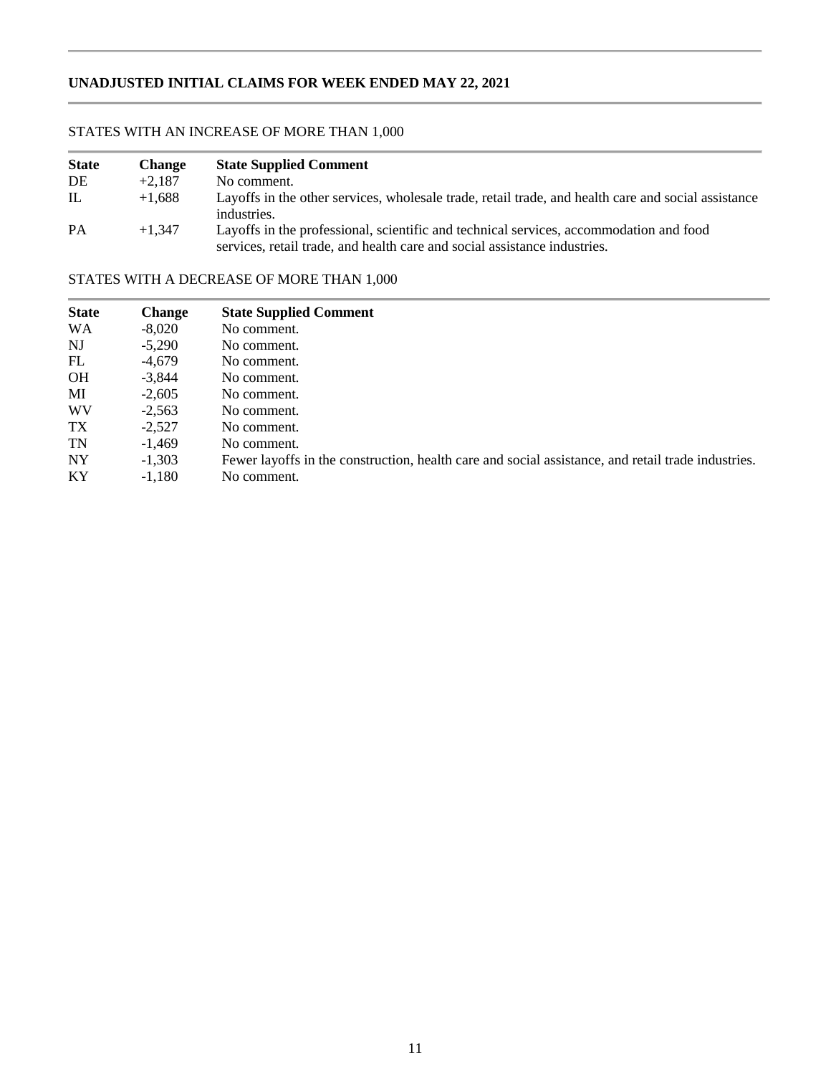### **UNADJUSTED INITIAL CLAIMS FOR WEEK ENDED MAY 22, 2021**

### STATES WITH AN INCREASE OF MORE THAN 1,000

i.

| <b>State</b> | <b>Change</b> | <b>State Supplied Comment</b>                                                                                                                                       |
|--------------|---------------|---------------------------------------------------------------------------------------------------------------------------------------------------------------------|
| DE           | $+2.187$      | No comment.                                                                                                                                                         |
| IL           | $+1.688$      | Layoffs in the other services, wholesale trade, retail trade, and health care and social assistance<br>industries.                                                  |
| <b>PA</b>    | $+1.347$      | Layoffs in the professional, scientific and technical services, accommodation and food<br>services, retail trade, and health care and social assistance industries. |

### STATES WITH A DECREASE OF MORE THAN 1,000

| <b>State</b> | <b>Change</b> | <b>State Supplied Comment</b>                                                                      |
|--------------|---------------|----------------------------------------------------------------------------------------------------|
| <b>WA</b>    | $-8.020$      | No comment.                                                                                        |
| NJ           | $-5.290$      | No comment.                                                                                        |
| FL           | $-4.679$      | No comment.                                                                                        |
| <b>OH</b>    | $-3.844$      | No comment.                                                                                        |
| MI           | $-2.605$      | No comment.                                                                                        |
| WV           | $-2.563$      | No comment.                                                                                        |
| TX           | $-2.527$      | No comment.                                                                                        |
| TN           | $-1.469$      | No comment.                                                                                        |
| NY           | $-1,303$      | Fewer layoffs in the construction, health care and social assistance, and retail trade industries. |
| <b>KY</b>    | $-1.180$      | No comment.                                                                                        |